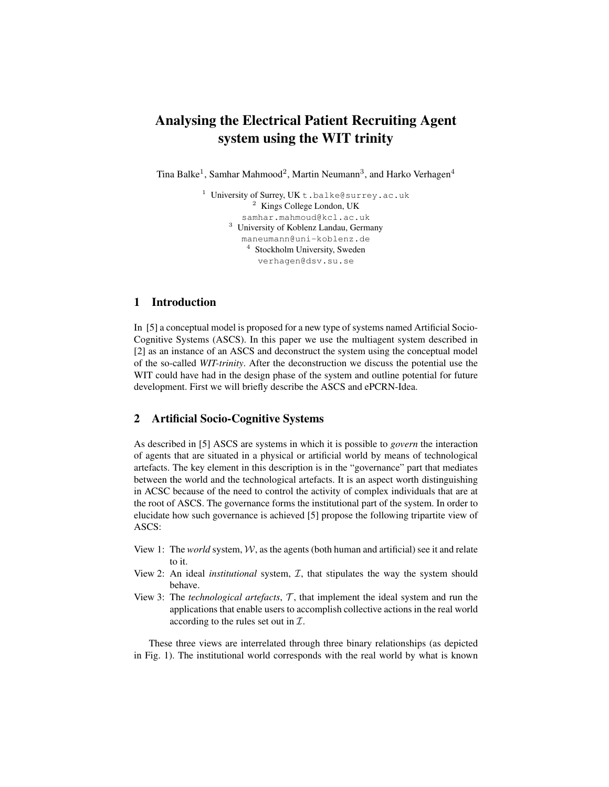# Analysing the Electrical Patient Recruiting Agent system using the WIT trinity

Tina Balke<sup>1</sup>, Samhar Mahmood<sup>2</sup>, Martin Neumann<sup>3</sup>, and Harko Verhagen<sup>4</sup>

<sup>1</sup> University of Surrey, UK t.balke@surrey.ac.uk <sup>2</sup> Kings College London, UK samhar.mahmoud@kcl.ac.uk <sup>3</sup> University of Koblenz Landau, Germany maneumann@uni-koblenz.de <sup>4</sup> Stockholm University, Sweden verhagen@dsv.su.se

## 1 Introduction

In [5] a conceptual model is proposed for a new type of systems named Artificial Socio-Cognitive Systems (ASCS). In this paper we use the multiagent system described in [2] as an instance of an ASCS and deconstruct the system using the conceptual model of the so-called *WIT-trinity*. After the deconstruction we discuss the potential use the WIT could have had in the design phase of the system and outline potential for future development. First we will briefly describe the ASCS and ePCRN-Idea.

## 2 Artificial Socio-Cognitive Systems

As described in [5] ASCS are systems in which it is possible to *govern* the interaction of agents that are situated in a physical or artificial world by means of technological artefacts. The key element in this description is in the "governance" part that mediates between the world and the technological artefacts. It is an aspect worth distinguishing in ACSC because of the need to control the activity of complex individuals that are at the root of ASCS. The governance forms the institutional part of the system. In order to elucidate how such governance is achieved [5] propose the following tripartite view of ASCS:

- View 1: The *world* system,  $W$ , as the agents (both human and artificial) see it and relate to it.
- View 2: An ideal *institutional* system, I, that stipulates the way the system should behave.
- View 3: The *technological artefacts*,  $\mathcal{T}$ , that implement the ideal system and run the applications that enable users to accomplish collective actions in the real world according to the rules set out in  $\mathcal{I}$ .

These three views are interrelated through three binary relationships (as depicted in Fig. 1). The institutional world corresponds with the real world by what is known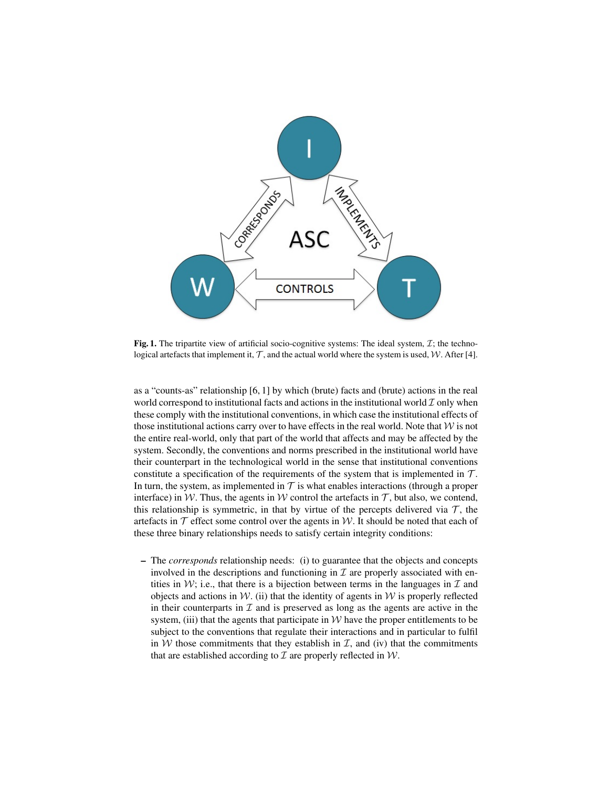

Fig. 1. The tripartite view of artificial socio-cognitive systems: The ideal system,  $\mathcal{I}$ ; the technological artefacts that implement it,  $T$ , and the actual world where the system is used,  $W$ . After [4].

as a "counts-as" relationship [6, 1] by which (brute) facts and (brute) actions in the real world correspond to institutional facts and actions in the institutional world  $\mathcal I$  only when these comply with the institutional conventions, in which case the institutional effects of those institutional actions carry over to have effects in the real world. Note that  $W$  is not the entire real-world, only that part of the world that affects and may be affected by the system. Secondly, the conventions and norms prescribed in the institutional world have their counterpart in the technological world in the sense that institutional conventions constitute a specification of the requirements of the system that is implemented in  $T$ . In turn, the system, as implemented in  $\mathcal T$  is what enables interactions (through a proper interface) in W. Thus, the agents in W control the artefacts in  $\mathcal{T}$ , but also, we contend, this relationship is symmetric, in that by virtue of the percepts delivered via  $\mathcal{T}$ , the artefacts in  $\mathcal T$  effect some control over the agents in W. It should be noted that each of these three binary relationships needs to satisfy certain integrity conditions:

– The *corresponds* relationship needs: (i) to guarantee that the objects and concepts involved in the descriptions and functioning in  $\mathcal I$  are properly associated with entities in  $W$ ; i.e., that there is a bijection between terms in the languages in  $\mathcal I$  and objects and actions in  $W$ . (ii) that the identity of agents in  $W$  is properly reflected in their counterparts in  $\mathcal I$  and is preserved as long as the agents are active in the system, (iii) that the agents that participate in  $W$  have the proper entitlements to be subject to the conventions that regulate their interactions and in particular to fulfil in  $W$  those commitments that they establish in  $I$ , and (iv) that the commitments that are established according to  $\mathcal I$  are properly reflected in  $\mathcal W$ .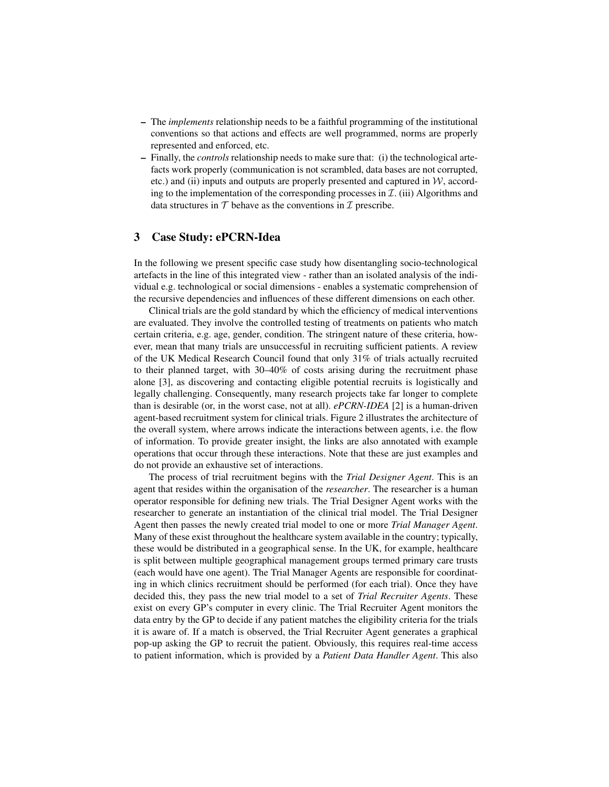- The *implements* relationship needs to be a faithful programming of the institutional conventions so that actions and effects are well programmed, norms are properly represented and enforced, etc.
- Finally, the *controls* relationship needs to make sure that: (i) the technological artefacts work properly (communication is not scrambled, data bases are not corrupted, etc.) and (ii) inputs and outputs are properly presented and captured in  $W$ , according to the implementation of the corresponding processes in  $\mathcal{I}$ . (iii) Algorithms and data structures in  $T$  behave as the conventions in  $T$  prescribe.

#### 3 Case Study: ePCRN-Idea

In the following we present specific case study how disentangling socio-technological artefacts in the line of this integrated view - rather than an isolated analysis of the individual e.g. technological or social dimensions - enables a systematic comprehension of the recursive dependencies and influences of these different dimensions on each other.

Clinical trials are the gold standard by which the efficiency of medical interventions are evaluated. They involve the controlled testing of treatments on patients who match certain criteria, e.g. age, gender, condition. The stringent nature of these criteria, however, mean that many trials are unsuccessful in recruiting sufficient patients. A review of the UK Medical Research Council found that only 31% of trials actually recruited to their planned target, with 30–40% of costs arising during the recruitment phase alone [3], as discovering and contacting eligible potential recruits is logistically and legally challenging. Consequently, many research projects take far longer to complete than is desirable (or, in the worst case, not at all). *ePCRN-IDEA* [2] is a human-driven agent-based recruitment system for clinical trials. Figure 2 illustrates the architecture of the overall system, where arrows indicate the interactions between agents, i.e. the flow of information. To provide greater insight, the links are also annotated with example operations that occur through these interactions. Note that these are just examples and do not provide an exhaustive set of interactions.

The process of trial recruitment begins with the *Trial Designer Agent*. This is an agent that resides within the organisation of the *researcher*. The researcher is a human operator responsible for defining new trials. The Trial Designer Agent works with the researcher to generate an instantiation of the clinical trial model. The Trial Designer Agent then passes the newly created trial model to one or more *Trial Manager Agent*. Many of these exist throughout the healthcare system available in the country; typically, these would be distributed in a geographical sense. In the UK, for example, healthcare is split between multiple geographical management groups termed primary care trusts (each would have one agent). The Trial Manager Agents are responsible for coordinating in which clinics recruitment should be performed (for each trial). Once they have decided this, they pass the new trial model to a set of *Trial Recruiter Agents*. These exist on every GP's computer in every clinic. The Trial Recruiter Agent monitors the data entry by the GP to decide if any patient matches the eligibility criteria for the trials it is aware of. If a match is observed, the Trial Recruiter Agent generates a graphical pop-up asking the GP to recruit the patient. Obviously, this requires real-time access to patient information, which is provided by a *Patient Data Handler Agent*. This also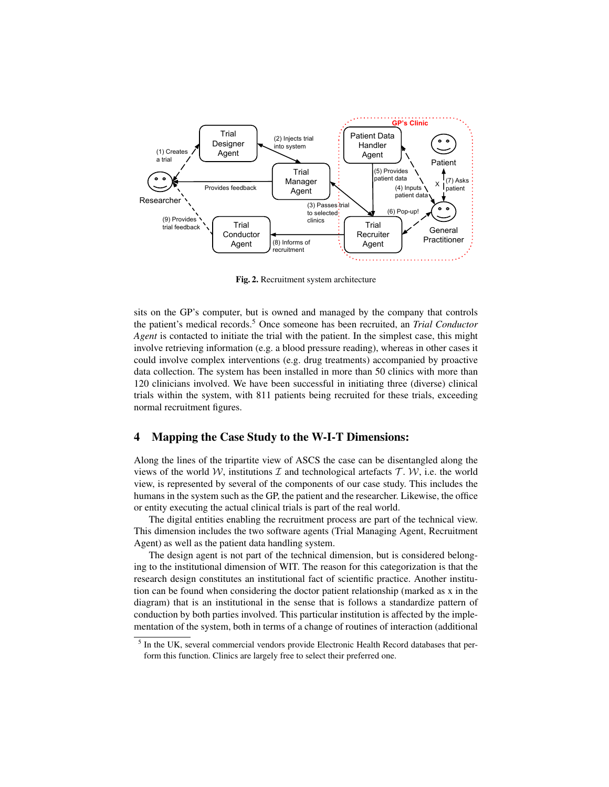

Fig. 2. Recruitment system architecture

sits on the GP's computer, but is owned and managed by the company that controls the patient's medical records.<sup>5</sup> Once someone has been recruited, an *Trial Conductor Agent* is contacted to initiate the trial with the patient. In the simplest case, this might involve retrieving information (e.g. a blood pressure reading), whereas in other cases it could involve complex interventions (e.g. drug treatments) accompanied by proactive data collection. The system has been installed in more than 50 clinics with more than 120 clinicians involved. We have been successful in initiating three (diverse) clinical trials within the system, with 811 patients being recruited for these trials, exceeding normal recruitment figures.

## 4 Mapping the Case Study to the W-I-T Dimensions:

Along the lines of the tripartite view of ASCS the case can be disentangled along the views of the world W, institutions  $\mathcal I$  and technological artefacts  $\mathcal T$ . W, i.e. the world view, is represented by several of the components of our case study. This includes the humans in the system such as the GP, the patient and the researcher. Likewise, the office or entity executing the actual clinical trials is part of the real world.

The digital entities enabling the recruitment process are part of the technical view. This dimension includes the two software agents (Trial Managing Agent, Recruitment Agent) as well as the patient data handling system.

The design agent is not part of the technical dimension, but is considered belonging to the institutional dimension of WIT. The reason for this categorization is that the research design constitutes an institutional fact of scientific practice. Another institution can be found when considering the doctor patient relationship (marked as x in the diagram) that is an institutional in the sense that is follows a standardize pattern of conduction by both parties involved. This particular institution is affected by the implementation of the system, both in terms of a change of routines of interaction (additional

<sup>&</sup>lt;sup>5</sup> In the UK, several commercial vendors provide Electronic Health Record databases that perform this function. Clinics are largely free to select their preferred one.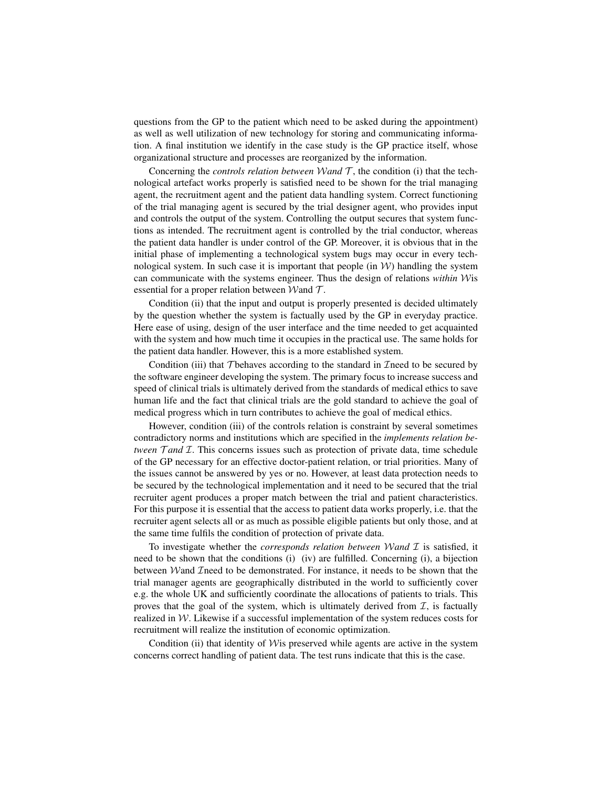questions from the GP to the patient which need to be asked during the appointment) as well as well utilization of new technology for storing and communicating information. A final institution we identify in the case study is the GP practice itself, whose organizational structure and processes are reorganized by the information.

Concerning the *controls relation between* Wand  $\mathcal{T}$ , the condition (i) that the technological artefact works properly is satisfied need to be shown for the trial managing agent, the recruitment agent and the patient data handling system. Correct functioning of the trial managing agent is secured by the trial designer agent, who provides input and controls the output of the system. Controlling the output secures that system functions as intended. The recruitment agent is controlled by the trial conductor, whereas the patient data handler is under control of the GP. Moreover, it is obvious that in the initial phase of implementing a technological system bugs may occur in every technological system. In such case it is important that people (in  $W$ ) handling the system can communicate with the systems engineer. Thus the design of relations *within* Wis essential for a proper relation between Wand  $\mathcal{T}$ .

Condition (ii) that the input and output is properly presented is decided ultimately by the question whether the system is factually used by the GP in everyday practice. Here ease of using, design of the user interface and the time needed to get acquainted with the system and how much time it occupies in the practical use. The same holds for the patient data handler. However, this is a more established system.

Condition (iii) that T behaves according to the standard in  $\mathcal{I}$  need to be secured by the software engineer developing the system. The primary focus to increase success and speed of clinical trials is ultimately derived from the standards of medical ethics to save human life and the fact that clinical trials are the gold standard to achieve the goal of medical progress which in turn contributes to achieve the goal of medical ethics.

However, condition (iii) of the controls relation is constraint by several sometimes contradictory norms and institutions which are specified in the *implements relation between*  $\mathcal{T}$  *and*  $\mathcal{T}$ . This concerns issues such as protection of private data, time schedule of the GP necessary for an effective doctor-patient relation, or trial priorities. Many of the issues cannot be answered by yes or no. However, at least data protection needs to be secured by the technological implementation and it need to be secured that the trial recruiter agent produces a proper match between the trial and patient characteristics. For this purpose it is essential that the access to patient data works properly, i.e. that the recruiter agent selects all or as much as possible eligible patients but only those, and at the same time fulfils the condition of protection of private data.

To investigate whether the *corresponds relation between* W*and* I is satisfied, it need to be shown that the conditions (i) (iv) are fulfilled. Concerning (i), a bijection between *Wand Treed to be demonstrated.* For instance, it needs to be shown that the trial manager agents are geographically distributed in the world to sufficiently cover e.g. the whole UK and sufficiently coordinate the allocations of patients to trials. This proves that the goal of the system, which is ultimately derived from  $I$ , is factually realized in  $W$ . Likewise if a successful implementation of the system reduces costs for recruitment will realize the institution of economic optimization.

Condition (ii) that identity of  $W$  is preserved while agents are active in the system concerns correct handling of patient data. The test runs indicate that this is the case.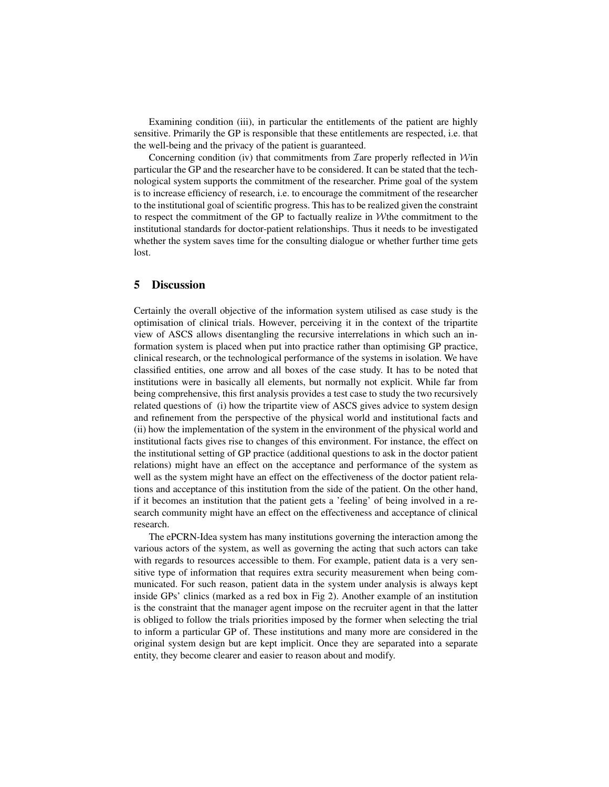Examining condition (iii), in particular the entitlements of the patient are highly sensitive. Primarily the GP is responsible that these entitlements are respected, i.e. that the well-being and the privacy of the patient is guaranteed.

Concerning condition (iv) that commitments from Iare properly reflected in Win particular the GP and the researcher have to be considered. It can be stated that the technological system supports the commitment of the researcher. Prime goal of the system is to increase efficiency of research, i.e. to encourage the commitment of the researcher to the institutional goal of scientific progress. This has to be realized given the constraint to respect the commitment of the GP to factually realize in  $W$ the commitment to the institutional standards for doctor-patient relationships. Thus it needs to be investigated whether the system saves time for the consulting dialogue or whether further time gets lost.

### 5 Discussion

Certainly the overall objective of the information system utilised as case study is the optimisation of clinical trials. However, perceiving it in the context of the tripartite view of ASCS allows disentangling the recursive interrelations in which such an information system is placed when put into practice rather than optimising GP practice, clinical research, or the technological performance of the systems in isolation. We have classified entities, one arrow and all boxes of the case study. It has to be noted that institutions were in basically all elements, but normally not explicit. While far from being comprehensive, this first analysis provides a test case to study the two recursively related questions of (i) how the tripartite view of ASCS gives advice to system design and refinement from the perspective of the physical world and institutional facts and (ii) how the implementation of the system in the environment of the physical world and institutional facts gives rise to changes of this environment. For instance, the effect on the institutional setting of GP practice (additional questions to ask in the doctor patient relations) might have an effect on the acceptance and performance of the system as well as the system might have an effect on the effectiveness of the doctor patient relations and acceptance of this institution from the side of the patient. On the other hand, if it becomes an institution that the patient gets a 'feeling' of being involved in a research community might have an effect on the effectiveness and acceptance of clinical research.

The ePCRN-Idea system has many institutions governing the interaction among the various actors of the system, as well as governing the acting that such actors can take with regards to resources accessible to them. For example, patient data is a very sensitive type of information that requires extra security measurement when being communicated. For such reason, patient data in the system under analysis is always kept inside GPs' clinics (marked as a red box in Fig 2). Another example of an institution is the constraint that the manager agent impose on the recruiter agent in that the latter is obliged to follow the trials priorities imposed by the former when selecting the trial to inform a particular GP of. These institutions and many more are considered in the original system design but are kept implicit. Once they are separated into a separate entity, they become clearer and easier to reason about and modify.